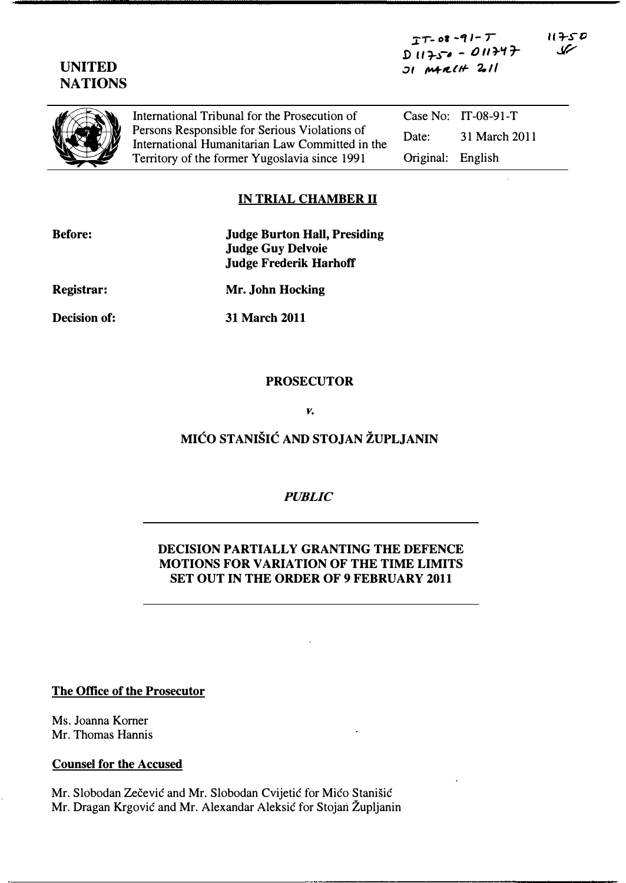$TT-08-91-T$  $DII750 - 011747$  $J$ I  $MGLH$   $2.11$ 

| NA LIUNS |                                                                                                                                                                                                    |                   |                       |
|----------|----------------------------------------------------------------------------------------------------------------------------------------------------------------------------------------------------|-------------------|-----------------------|
|          | International Tribunal for the Prosecution of<br>Persons Responsible for Serious Violations of<br>International Humanitarian Law Committed in the<br>Territory of the former Yugoslavia since 1991 |                   | Case No: $IT-08-91-T$ |
|          |                                                                                                                                                                                                    | Date:             | 31 March 2011         |
|          |                                                                                                                                                                                                    | Original: English |                       |
|          |                                                                                                                                                                                                    |                   |                       |

## IN TRIAL CHAMBER 11

| <b>Before:</b>    | <b>Judge Burton Hall, Presiding</b><br><b>Judge Guy Delvoie</b> |  |  |
|-------------------|-----------------------------------------------------------------|--|--|
|                   |                                                                 |  |  |
|                   | <b>Judge Frederik Harhoff</b>                                   |  |  |
| <b>Registrar:</b> | Mr. John Hocking                                                |  |  |
| Decision of:      | <b>31 March 2011</b>                                            |  |  |

## PROSECUTOR

v.

# MICO STANISIC AND STOJAN ZUPLJANIN

#### PUBLIC

# DECISION PARTIALLY GRANTING THE DEFENCE MOTIONS FOR VARIATION OF THE TIME LIMITS SET OUT IN THE ORDER OF 9 FEBRUARY 2011

#### The Office of the Prosecutor

Ms. Joanna Korner Mr. Thomas Hannis

### Counsel for the Accused

Mr. Slobodan Zečević and Mr. Slobodan Cvijetić for Mićo Stanišić Mr. Dragan Krgovic and Mr. Alexandar Aleksic for Stojari Zupljanin



 $11750$ سمک

Decision of: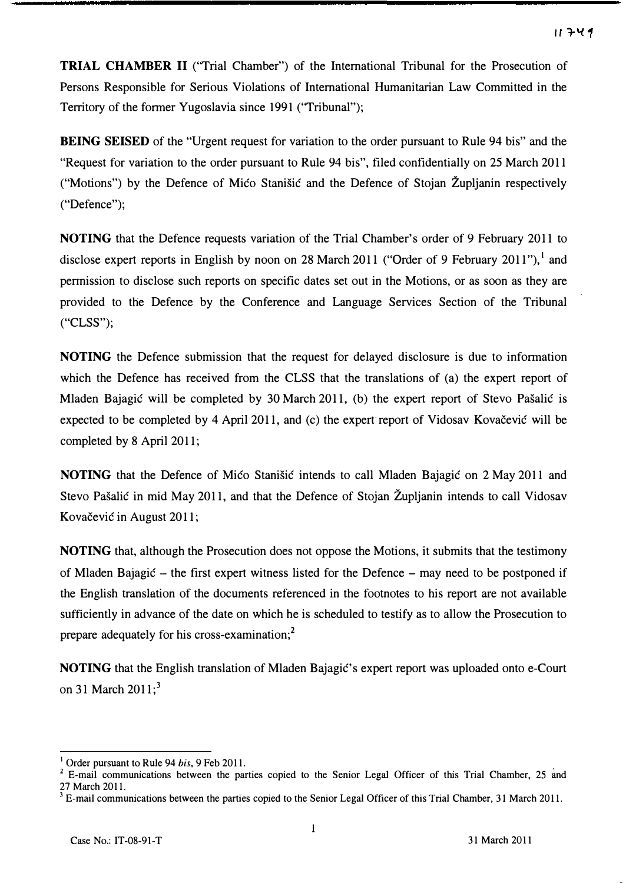TRIAL CHAMBER II ("Trial Chamber") of the International Tribunal for the Prosecution of Persons Responsible for Serious Violations of International Humanitarian Law Committed in the Territory of the fonner Yugoslavia since 1991 ("Tribunal");

BEING SEISED of the "Urgent request for variation to the order pursuant to Rule 94 bis" and the "Request for variation to the order pursuant to Rule 94 bis", filed confidentially on 25 March 2011 ("Motions") by the Defence of Mico Stanisic and the Defence of Stojan Zupljanin respectively ("Defence");

NOTING that the Defence requests variation of the Trial Chamber's order of 9 February 2011 to disclose expert reports in English by noon on 28 March 2011 ("Order of 9 February 2011"), and pennission to disclose such reports on specific dates set out in the Motions, or as soon as they are provided to the Defence by the Conference and Language Services Section of the Tribunal ("CLSS");

NOTING the Defence submission that the request for delayed disclosure is due to infonnation which the Defence has received from the CLSS that the translations of (a) the expert report of Mladen Bajagic will be completed by 30 March 2011, (b) the expert report of Stevo Pasalic is expected to be completed by 4 April 2011, and (c) the expert report of Vidosav Kovačević will be completed by 8 April 2011;

NOTING that the Defence of Mico Stanišic intends to call Mladen Bajagic on 2 May 2011 and Stevo Pasalic in mid May 2011, and that the Defence of Stojan Zupljanin intends to call Vidosav Kovačević in August 2011;

NOTING that, although the Prosecution does not oppose the Motions, it submits that the testimony of Mladen Bajagic - the first expert witness listed for the Defence - may need to be postponed if the English translation of the documents referenced in the footnotes to his report are not available sufficiently in advance of the date on which he is scheduled to testify as to allow the Prosecution to prepare adequately for his cross-examination;<sup>2</sup>

NOTING that the English translation of Mladen Bajagic's expert report was uploaded onto e-Court on 31 March  $2011$ ;<sup>3</sup>

Order pursuant to Rule 94 *bis*, 9 Feb 2011.

<sup>.</sup> <sup>2</sup>E-mail communications between the parties copied to the Senior Legal Officer of this Trial Chamber. 25 and 27 March 2011.

<sup>3</sup>E-mail communications between the parties copied to the Senior Legal Officer of this Trial Chamber, 31 March 2011.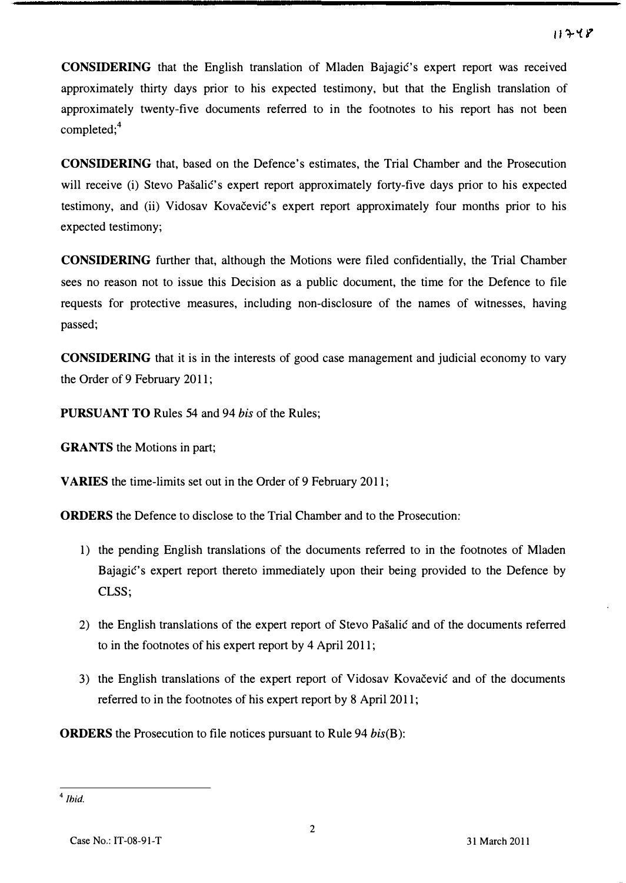CONSIDERING that the English translation of Mladen Bajagic's expert report was received approximately thirty days prior to his expected testimony, but that the English translation of approximately twenty-five documents referred to in the footnotes to his report has not been completed;<sup>4</sup>

CONSIDERING that, based on the Defence's estimates, the Trial Chamber and the Prosecution will receive (i) Stevo Pašalić's expert report approximately forty-five days prior to his expected testimony, and (ii) Vidosav Kovacevic's expert report approximately four months prior to his expected testimony;

CONSIDERING further that, although the Motions were filed confidentially, the Trial Chamber sees no reason not to issue this Decision as a public document, the time for the Defence to file requests for protective measures, including non-disclosure of the names of witnesses, having passed;

CONSIDERING that it is in the interests of good case management and judicial economy to vary the Order of 9 February 2011;

PURSUANT TO Rules 54 and 94 bis of the Rules;

GRANTS the Motions in part;

VARIES the time-limits set out in the Order of 9 February 2011;

ORDERS the Defence to disclose to the Trial Chamber and to the Prosecution:

- 1) the pending English translations of the documents referred to in the footnotes of Mladen Bajagic's expert report thereto immediately upon their being provided to the Defence by CLSS;
- 2) the English translations of the expert report of Stevo Pasalic and of the documents referred to in the footnotes of his expert report by 4 April 2011;
- 3) the English translations of the expert report of Vidosav Kovačević and of the documents referred to in the footnotes of his expert report by 8 April 2011;

ORDERS the Prosecution to file notices pursuant to Rule 94 bis(B):

 $4$  Ihid.